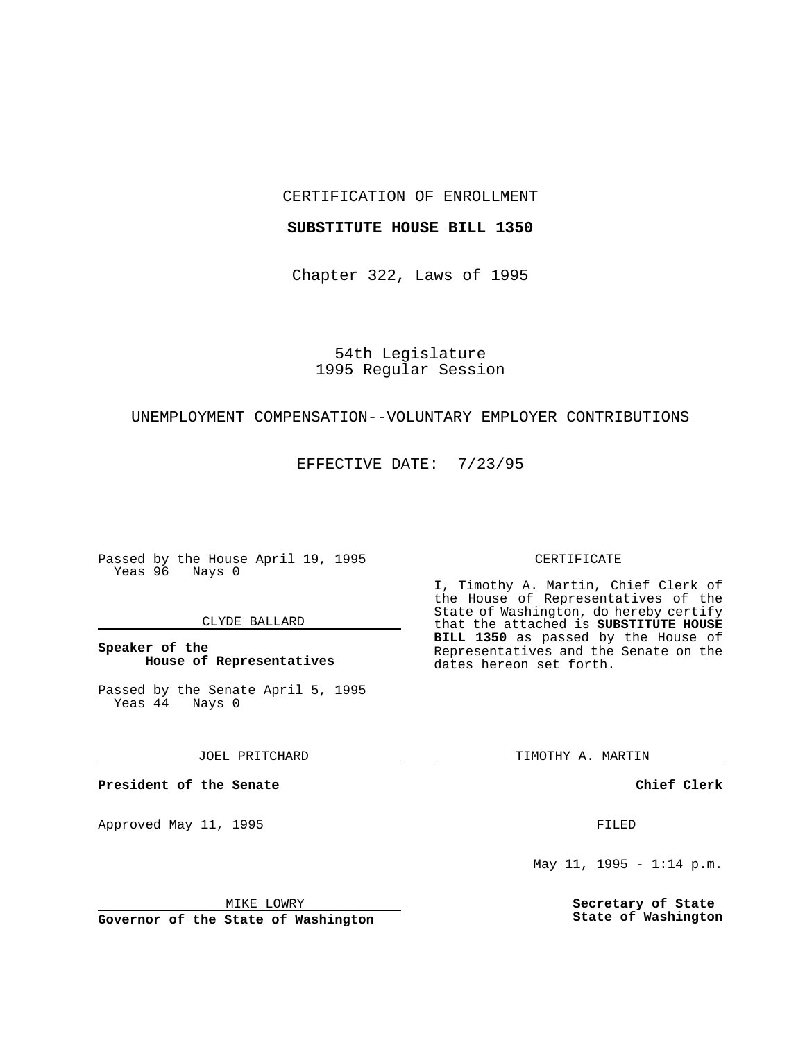## CERTIFICATION OF ENROLLMENT

### **SUBSTITUTE HOUSE BILL 1350**

Chapter 322, Laws of 1995

54th Legislature 1995 Regular Session

## UNEMPLOYMENT COMPENSATION--VOLUNTARY EMPLOYER CONTRIBUTIONS

EFFECTIVE DATE: 7/23/95

Passed by the House April 19, 1995 Yeas 96 Nays 0

#### CLYDE BALLARD

## **Speaker of the House of Representatives**

Passed by the Senate April 5, 1995<br>Yeas 44 Nays 0  $Yeas$  44

JOEL PRITCHARD

**President of the Senate**

Approved May 11, 1995 FILED

MIKE LOWRY

**Governor of the State of Washington**

#### CERTIFICATE

I, Timothy A. Martin, Chief Clerk of the House of Representatives of the State of Washington, do hereby certify that the attached is **SUBSTITUTE HOUSE BILL 1350** as passed by the House of Representatives and the Senate on the dates hereon set forth.

TIMOTHY A. MARTIN

**Chief Clerk**

May 11, 1995 - 1:14 p.m.

**Secretary of State State of Washington**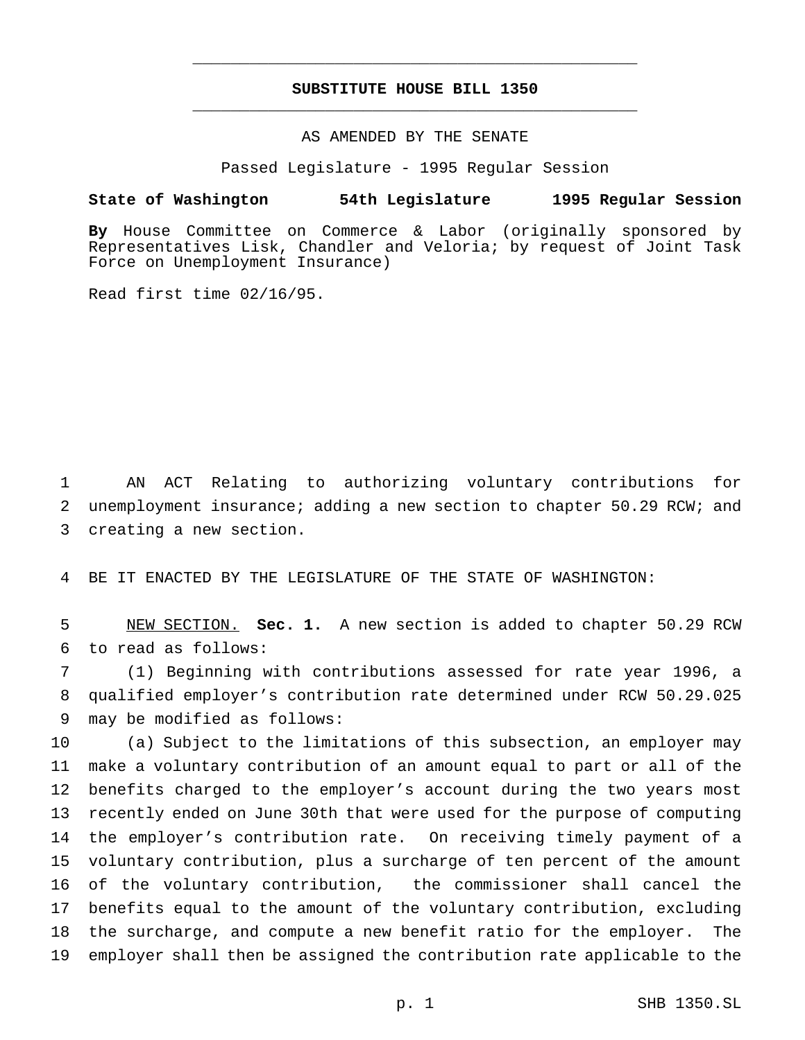# **SUBSTITUTE HOUSE BILL 1350** \_\_\_\_\_\_\_\_\_\_\_\_\_\_\_\_\_\_\_\_\_\_\_\_\_\_\_\_\_\_\_\_\_\_\_\_\_\_\_\_\_\_\_\_\_\_\_

\_\_\_\_\_\_\_\_\_\_\_\_\_\_\_\_\_\_\_\_\_\_\_\_\_\_\_\_\_\_\_\_\_\_\_\_\_\_\_\_\_\_\_\_\_\_\_

## AS AMENDED BY THE SENATE

Passed Legislature - 1995 Regular Session

#### **State of Washington 54th Legislature 1995 Regular Session**

**By** House Committee on Commerce & Labor (originally sponsored by Representatives Lisk, Chandler and Veloria; by request of Joint Task Force on Unemployment Insurance)

Read first time 02/16/95.

 AN ACT Relating to authorizing voluntary contributions for unemployment insurance; adding a new section to chapter 50.29 RCW; and creating a new section.

BE IT ENACTED BY THE LEGISLATURE OF THE STATE OF WASHINGTON:

 NEW SECTION. **Sec. 1.** A new section is added to chapter 50.29 RCW to read as follows:

 (1) Beginning with contributions assessed for rate year 1996, a qualified employer's contribution rate determined under RCW 50.29.025 may be modified as follows:

 (a) Subject to the limitations of this subsection, an employer may make a voluntary contribution of an amount equal to part or all of the benefits charged to the employer's account during the two years most recently ended on June 30th that were used for the purpose of computing the employer's contribution rate. On receiving timely payment of a voluntary contribution, plus a surcharge of ten percent of the amount of the voluntary contribution, the commissioner shall cancel the benefits equal to the amount of the voluntary contribution, excluding the surcharge, and compute a new benefit ratio for the employer. The employer shall then be assigned the contribution rate applicable to the